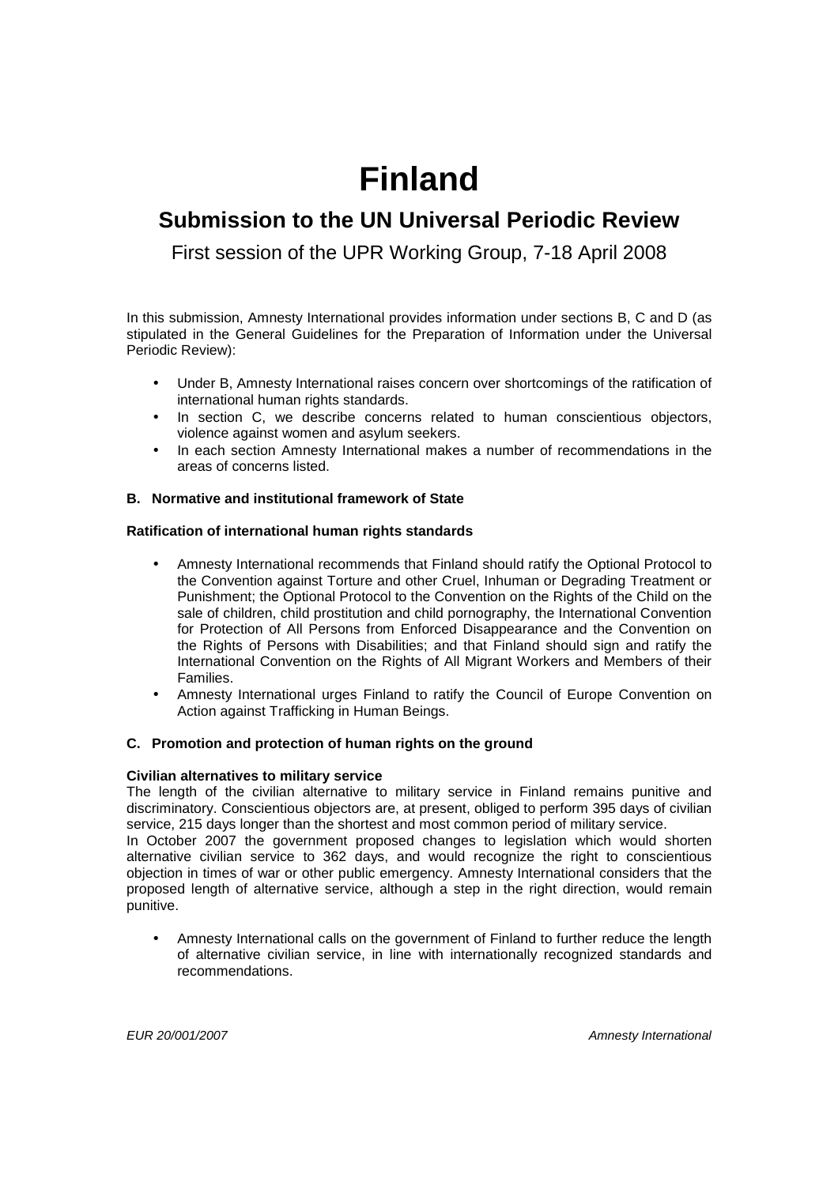# **Finland**

# **Submission to the UN Universal Periodic Review**

First session of the UPR Working Group, 7-18 April 2008

In this submission, Amnesty International provides information under sections B, C and D (as stipulated in the General Guidelines for the Preparation of Information under the Universal Periodic Review):

- Under B, Amnesty International raises concern over shortcomings of the ratification of international human rights standards.
- In section C, we describe concerns related to human conscientious objectors, violence against women and asylum seekers.
- In each section Amnesty International makes a number of recommendations in the areas of concerns listed.

## **B. Normative and institutional framework of State**

## **Ratification of international human rights standards**

- Amnesty International recommends that Finland should ratify the Optional Protocol to the Convention against Torture and other Cruel, Inhuman or Degrading Treatment or Punishment; the Optional Protocol to the Convention on the Rights of the Child on the sale of children, child prostitution and child pornography, the International Convention for Protection of All Persons from Enforced Disappearance and the Convention on the Rights of Persons with Disabilities; and that Finland should sign and ratify the International Convention on the Rights of All Migrant Workers and Members of their Families.
- Amnesty International urges Finland to ratify the Council of Europe Convention on Action against Trafficking in Human Beings.

## **C. Promotion and protection of human rights on the ground**

## **Civilian alternatives to military service**

The length of the civilian alternative to military service in Finland remains punitive and discriminatory. Conscientious objectors are, at present, obliged to perform 395 days of civilian service, 215 days longer than the shortest and most common period of military service.

In October 2007 the government proposed changes to legislation which would shorten alternative civilian service to 362 days, and would recognize the right to conscientious objection in times of war or other public emergency. Amnesty International considers that the proposed length of alternative service, although a step in the right direction, would remain punitive.

• Amnesty International calls on the government of Finland to further reduce the length of alternative civilian service, in line with internationally recognized standards and recommendations.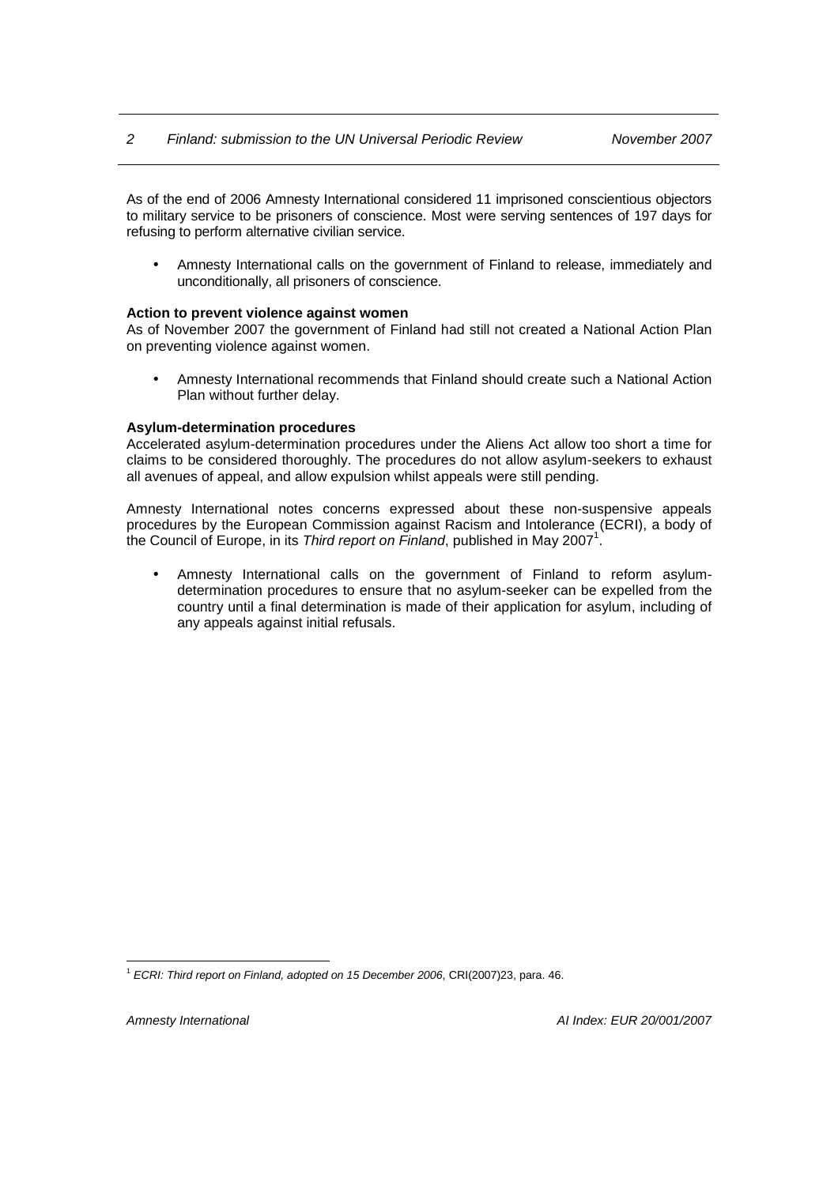As of the end of 2006 Amnesty International considered 11 imprisoned conscientious objectors to military service to be prisoners of conscience. Most were serving sentences of 197 days for refusing to perform alternative civilian service.

• Amnesty International calls on the government of Finland to release, immediately and unconditionally, all prisoners of conscience.

#### **Action to prevent violence against women**

As of November 2007 the government of Finland had still not created a National Action Plan on preventing violence against women.

• Amnesty International recommends that Finland should create such a National Action Plan without further delay.

#### **Asylum-determination procedures**

Accelerated asylum-determination procedures under the Aliens Act allow too short a time for claims to be considered thoroughly. The procedures do not allow asylum-seekers to exhaust all avenues of appeal, and allow expulsion whilst appeals were still pending.

Amnesty International notes concerns expressed about these non-suspensive appeals procedures by the European Commission against Racism and Intolerance (ECRI), a body of the Council of Europe, in its Third report on Finland, published in May 2007<sup>1</sup>.

• Amnesty International calls on the government of Finland to reform asylumdetermination procedures to ensure that no asylum-seeker can be expelled from the country until a final determination is made of their application for asylum, including of any appeals against initial refusals.

 $\overline{a}$  $1$  ECRI: Third report on Finland, adopted on 15 December 2006, CRI(2007)23, para. 46.